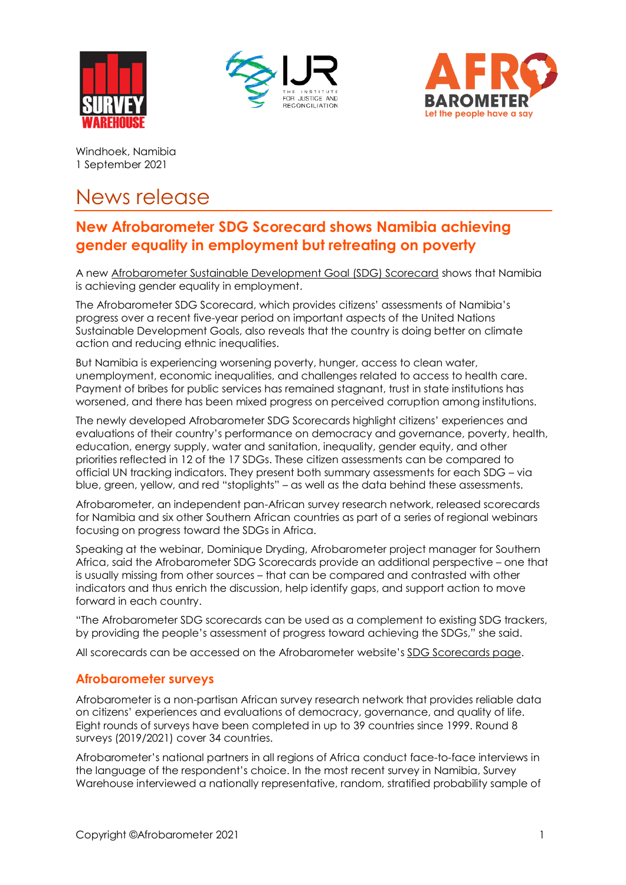





Windhoek, Namibia 1 September 2021

## News release

## **New Afrobarometer SDG Scorecard shows Namibia achieving gender equality in employment but retreating on poverty**

A new [Afrobarometer Sustainable Development Goal \(SDG\) Scorecard](https://afrobarometer.org/publications/namibia-sdg-scorecard) shows that Namibia is achieving gender equality in employment.

The Afrobarometer SDG Scorecard, which provides citizens' assessments of Namibia's progress over a recent five-year period on important aspects of the United Nations Sustainable Development Goals, also reveals that the country is doing better on climate action and reducing ethnic inequalities.

But Namibia is experiencing worsening poverty, hunger, access to clean water, unemployment, economic inequalities, and challenges related to access to health care. Payment of bribes for public services has remained stagnant, trust in state institutions has worsened, and there has been mixed progress on perceived corruption among institutions.

The newly developed Afrobarometer SDG Scorecards highlight citizens' experiences and evaluations of their country's performance on democracy and governance, poverty, health, education, energy supply, water and sanitation, inequality, gender equity, and other priorities reflected in 12 of the 17 SDGs. These citizen assessments can be compared to official UN tracking indicators. They present both summary assessments for each SDG – via blue, green, yellow, and red "stoplights" – as well as the data behind these assessments.

Afrobarometer, an independent pan-African survey research network, released scorecards for Namibia and six other Southern African countries as part of a series of regional webinars focusing on progress toward the SDGs in Africa.

Speaking at the webinar, Dominique Dryding, Afrobarometer project manager for Southern Africa, said the Afrobarometer SDG Scorecards provide an additional perspective – one that is usually missing from other sources – that can be compared and contrasted with other indicators and thus enrich the discussion, help identify gaps, and support action to move forward in each country.

"The Afrobarometer SDG scorecards can be used as a complement to existing SDG trackers, by providing the people's assessment of progress toward achieving the SDGs," she said.

All scorecards can be accessed on the Afrobarometer website's [SDG Scorecards page.](https://afrobarometer.org/sdg)

## **Afrobarometer surveys**

Afrobarometer is a non-partisan African survey research network that provides reliable data on citizens' experiences and evaluations of democracy, governance, and quality of life. Eight rounds of surveys have been completed in up to 39 countries since 1999. Round 8 surveys (2019/2021) cover 34 countries.

Afrobarometer's national partners in all regions of Africa conduct face-to-face interviews in the language of the respondent's choice. In the most recent survey in Namibia, Survey Warehouse interviewed a nationally representative, random, stratified probability sample of